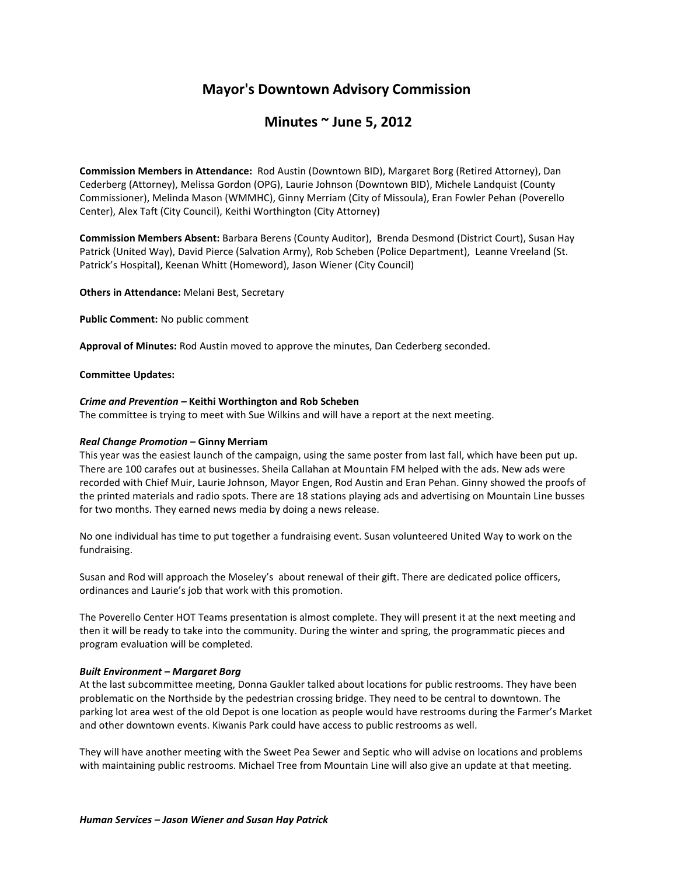# **Mayor's Downtown Advisory Commission**

## **Minutes ~ June 5, 2012**

**Commission Members in Attendance:** Rod Austin (Downtown BID), Margaret Borg (Retired Attorney), Dan Cederberg (Attorney), Melissa Gordon (OPG), Laurie Johnson (Downtown BID), Michele Landquist (County Commissioner), Melinda Mason (WMMHC), Ginny Merriam (City of Missoula), Eran Fowler Pehan (Poverello Center), Alex Taft (City Council), Keithi Worthington (City Attorney)

**Commission Members Absent:** Barbara Berens (County Auditor), Brenda Desmond (District Court), Susan Hay Patrick (United Way), David Pierce (Salvation Army), Rob Scheben (Police Department), Leanne Vreeland (St. Patrick's Hospital), Keenan Whitt (Homeword), Jason Wiener (City Council)

**Others in Attendance:** Melani Best, Secretary

**Public Comment:** No public comment

**Approval of Minutes:** Rod Austin moved to approve the minutes, Dan Cederberg seconded.

#### **Committee Updates:**

#### *Crime and Prevention –* **Keithi Worthington and Rob Scheben**

The committee is trying to meet with Sue Wilkins and will have a report at the next meeting.

### *Real Change Promotion* **– Ginny Merriam**

This year was the easiest launch of the campaign, using the same poster from last fall, which have been put up. There are 100 carafes out at businesses. Sheila Callahan at Mountain FM helped with the ads. New ads were recorded with Chief Muir, Laurie Johnson, Mayor Engen, Rod Austin and Eran Pehan. Ginny showed the proofs of the printed materials and radio spots. There are 18 stations playing ads and advertising on Mountain Line busses for two months. They earned news media by doing a news release.

No one individual has time to put together a fundraising event. Susan volunteered United Way to work on the fundraising.

Susan and Rod will approach the Moseley's about renewal of their gift. There are dedicated police officers, ordinances and Laurie's job that work with this promotion.

The Poverello Center HOT Teams presentation is almost complete. They will present it at the next meeting and then it will be ready to take into the community. During the winter and spring, the programmatic pieces and program evaluation will be completed.

## *Built Environment – Margaret Borg*

At the last subcommittee meeting, Donna Gaukler talked about locations for public restrooms. They have been problematic on the Northside by the pedestrian crossing bridge. They need to be central to downtown. The parking lot area west of the old Depot is one location as people would have restrooms during the Farmer's Market and other downtown events. Kiwanis Park could have access to public restrooms as well.

They will have another meeting with the Sweet Pea Sewer and Septic who will advise on locations and problems with maintaining public restrooms. Michael Tree from Mountain Line will also give an update at that meeting.